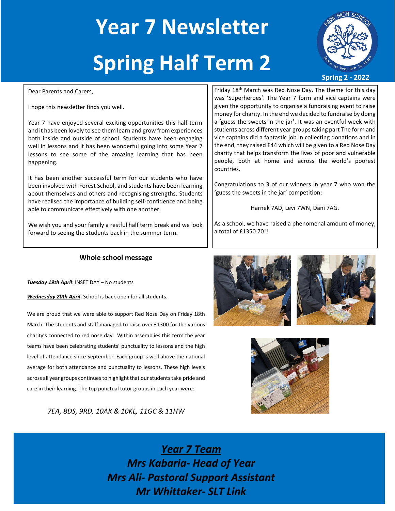## **Year 7 Newsletter Spring Half Term 2**



Dear Parents and Carers,

I hope this newsletter finds you well.

Year 7 have enjoyed several exciting opportunities this half term and it has been lovely to see them learn and grow from experiences both inside and outside of school. Students have been engaging well in lessons and it has been wonderful going into some Year 7 lessons to see some of the amazing learning that has been happening.

It has been another successful term for our students who have been involved with Forest School, and students have been learning about themselves and others and recognising strengths. Students have realised the importance of building self-confidence and being able to communicate effectively with one another.

We wish you and your family a restful half term break and we look forward to seeing the students back in the summer term.

Friday 18<sup>th</sup> March was Red Nose Day. The theme for this day was 'Superheroes'. The Year 7 form and vice captains were given the opportunity to organise a fundraising event to raise money for charity. In the end we decided to fundraise by doing a 'guess the sweets in the jar'. It was an eventful week with students across different year groups taking part The form and vice captains did a fantastic job in collecting donations and in the end, they raised £44 which will be given to a Red Nose Day charity that helps transform the lives of poor and vulnerable people, both at home and across the world's poorest countries.

Congratulations to 3 of our winners in year 7 who won the 'guess the sweets in the jar' competition:

Harnek 7AD, Levi 7WN, Dani 7AG.

As a school, we have raised a phenomenal amount of money, a total of £1350.70!!

## **Whole school message**

*Tuesday 19th April*: INSET DAY – No students

*The Year 7 Team*

*Wednesday 20th April*: School is back open for all students.

We are proud that we were able to support Red Nose Day on Friday 18th March. The students and staff managed to raise over £1300 for the various charity's connected to red nose day. Within assemblies this term the year teams have been celebrating students' punctuality to lessons and the high level of attendance since September. Each group is well above the national average for both attendance and punctuality to lessons. These high levels across all year groups continues to highlight that our students take pride and care in their learning. The top punctual tutor groups in each year were:

*7EA, 8DS, 9RD, 10AK & 10KL, 11GC & 11HW*







*Year 7 Team Mrs Kabaria- Head of Year Mrs Ali- Pastoral Support Assistant Mr Whittaker- SLT Link*